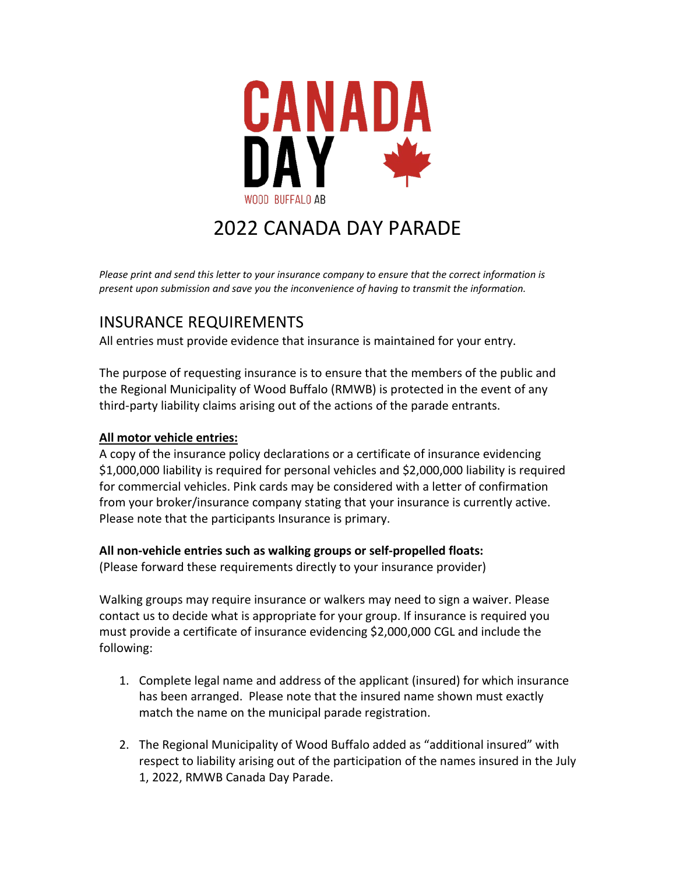

## 2022 CANADA DAY PARADE

*Please print and send this letter to your insurance company to ensure that the correct information is present upon submission and save you the inconvenience of having to transmit the information.* 

## INSURANCE REQUIREMENTS

All entries must provide evidence that insurance is maintained for your entry.

The purpose of requesting insurance is to ensure that the members of the public and the Regional Municipality of Wood Buffalo (RMWB) is protected in the event of any third-party liability claims arising out of the actions of the parade entrants.

## **All motor vehicle entries:**

A copy of the insurance policy declarations or a certificate of insurance evidencing \$1,000,000 liability is required for personal vehicles and \$2,000,000 liability is required for commercial vehicles. Pink cards may be considered with a letter of confirmation from your broker/insurance company stating that your insurance is currently active. Please note that the participants Insurance is primary.

## **All non-vehicle entries such as walking groups or self-propelled floats:**

(Please forward these requirements directly to your insurance provider)

Walking groups may require insurance or walkers may need to sign a waiver. Please contact us to decide what is appropriate for your group. If insurance is required you must provide a certificate of insurance evidencing \$2,000,000 CGL and include the following:

- 1. Complete legal name and address of the applicant (insured) for which insurance has been arranged. Please note that the insured name shown must exactly match the name on the municipal parade registration.
- 2. The Regional Municipality of Wood Buffalo added as "additional insured" with respect to liability arising out of the participation of the names insured in the July 1, 2022, RMWB Canada Day Parade.